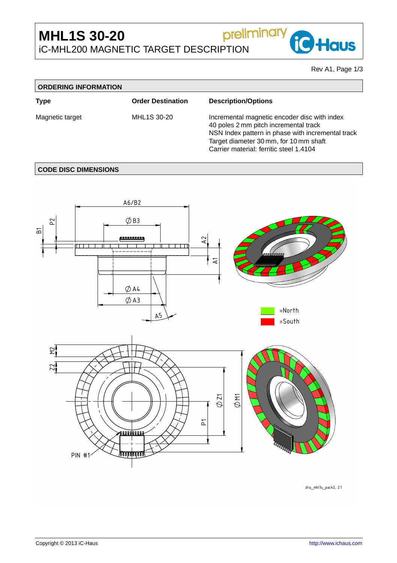# preliminary **MHL1S 30-20** iC-MHL200 MAGNETIC TARGET DESCRIPTION

Rev A1, Page 1[/3](#page-2-0)

 $\overline{\phantom{a}}$ 

**iC** Haus

| <b>ORDERING INFORMATION</b> |                          |                                                                                                                                                                                                                                 |  |  |  |
|-----------------------------|--------------------------|---------------------------------------------------------------------------------------------------------------------------------------------------------------------------------------------------------------------------------|--|--|--|
| Type                        | <b>Order Destination</b> | <b>Description/Options</b>                                                                                                                                                                                                      |  |  |  |
| Magnetic target             | MHL1S 30-20              | Incremental magnetic encoder disc with index<br>40 poles 2 mm pitch incremental track<br>NSN Index pattern in phase with incremental track<br>Target diameter 30 mm, for 10 mm shaft<br>Carrier material: ferritic steel 1.4104 |  |  |  |

# **CODE DISC DIMENSIONS**



dra\_mhl1s\_pack2, 2:1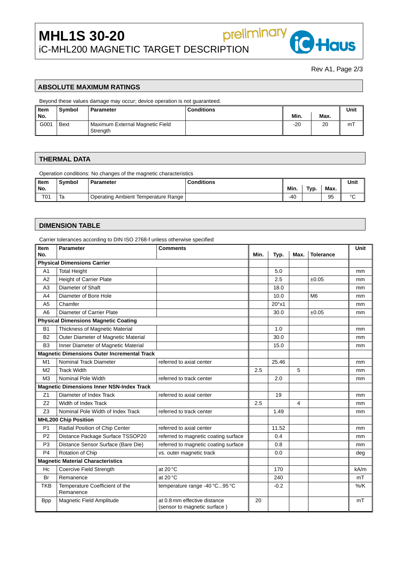

**iC** Haus

## **ABSOLUTE MAXIMUM RATINGS**

Beyond these values damage may occur; device operation is not guaranteed.

| Item  | Symbol      | <b>Conditions:</b><br>Parameter             |  |       | Unit |     |
|-------|-------------|---------------------------------------------|--|-------|------|-----|
| " No. |             |                                             |  | Min.  | Max. |     |
| G001  | <b>Bext</b> | Maximum External Magnetic Field<br>Strength |  | $-20$ | 20   | m i |

preliminary

#### **THERMAL DATA**

Operation conditions: No changes of the magnetic characteristics

| Item | .<br>. |                                      | ---- |            |             | Unit     |        |
|------|--------|--------------------------------------|------|------------|-------------|----------|--------|
| 'No. |        |                                      |      | <b>Min</b> | Tvn.<br>. . | Max.     |        |
| T01  | ıa     | ⊀ange<br>۱ıar<br>ے ما<br>atınc<br>Ωr |      | $-40$      |             | QĘ<br>ັບ | $\sim$ |

#### **DIMENSION TABLE**

Carrier tolerances according to DIN ISO 2768-f unless otherwise specified

| Item                                     | <b>Parameter</b>                                   | <b>Comments</b>                                              |      |                |                | Unit             |        |
|------------------------------------------|----------------------------------------------------|--------------------------------------------------------------|------|----------------|----------------|------------------|--------|
| No.                                      |                                                    |                                                              | Min. | Typ.           | Max.           | <b>Tolerance</b> |        |
| <b>Physical Dimensions Carrier</b>       |                                                    |                                                              |      |                |                |                  |        |
| A <sub>1</sub>                           | <b>Total Height</b>                                |                                                              |      | 5.0            |                |                  | mm     |
| A2                                       | <b>Height of Carrier Plate</b>                     |                                                              |      | 2.5            |                | ±0.05            | mm     |
| A3                                       | Diameter of Shaft                                  |                                                              |      | 18.0           |                |                  | mm     |
| A4                                       | Diameter of Bore Hole                              |                                                              |      | 10.0           |                | M <sub>6</sub>   | mm     |
| A <sub>5</sub>                           | Chamfer                                            |                                                              |      | $20^{\circ}x1$ |                |                  | mm     |
| A <sub>6</sub>                           | Diameter of Carrier Plate                          |                                                              |      | 30.0           |                | ±0.05            | mm     |
|                                          | <b>Physical Dimensions Magnetic Coating</b>        |                                                              |      |                |                |                  |        |
| <b>B1</b>                                | Thickness of Magnetic Material                     |                                                              |      | 1.0            |                |                  | mm     |
| <b>B2</b>                                | Outer Diameter of Magnetic Material                |                                                              |      | 30.0           |                |                  | mm     |
| B <sub>3</sub>                           | Inner Diameter of Magnetic Material                |                                                              |      | 15.0           |                |                  | mm     |
|                                          | <b>Magnetic Dimensions Outer Incremental Track</b> |                                                              |      |                |                |                  |        |
| M <sub>1</sub>                           | Nominal Track Diameter                             | referred to axial center                                     |      | 25.46          |                |                  | mm     |
| M <sub>2</sub>                           | <b>Track Width</b>                                 |                                                              | 2.5  |                | 5              |                  | mm     |
| M <sub>3</sub>                           | Nominal Pole Width                                 | referred to track center                                     |      | 2.0            |                |                  | mm     |
|                                          | <b>Magnetic Dimensions Inner NSN-Index Track</b>   |                                                              |      |                |                |                  |        |
| Z1                                       | Diameter of Index Track                            | referred to axial center                                     |      | 19             |                |                  | mm     |
| Z <sub>2</sub>                           | Width of Index Track                               |                                                              | 2.5  |                | $\overline{4}$ |                  | mm     |
| Z <sub>3</sub>                           | Nominal Pole Width of Index Track                  | referred to track center                                     |      | 1.49           |                |                  | mm     |
| <b>MHL200 Chip Position</b>              |                                                    |                                                              |      |                |                |                  |        |
| P <sub>1</sub>                           | Radial Position of Chip Center                     | referred to axial center                                     |      | 11.52          |                |                  | mm     |
| P <sub>2</sub>                           | Distance Package Surface TSSOP20                   | referred to magnetic coating surface                         |      | 0.4            |                |                  | mm     |
| P <sub>3</sub>                           | Distance Sensor Surface (Bare Die)                 | referred to magnetic coating surface                         |      | 0.8            |                |                  | mm     |
| P <sub>4</sub>                           | Rotation of Chip                                   | vs. outer magnetic track                                     |      | 0.0            |                |                  | deg    |
| <b>Magnetic Material Characteristics</b> |                                                    |                                                              |      |                |                |                  |        |
| Hc                                       | Coercive Field Strength                            | at 20 °C                                                     |      | 170            |                |                  | kA/m   |
| Br                                       | Remanence                                          | at $20^{\circ}$ C                                            |      | 240            |                |                  | mT     |
| <b>TKB</b>                               | Temperature Coefficient of the<br>Remanence        | temperature range -40 °C95 °C                                |      | $-0.2$         |                |                  | $%$ /K |
| <b>Bpp</b>                               | Magnetic Field Amplitude                           | at 0.8 mm effective distance<br>(sensor to magnetic surface) | 20   |                |                |                  | mT     |